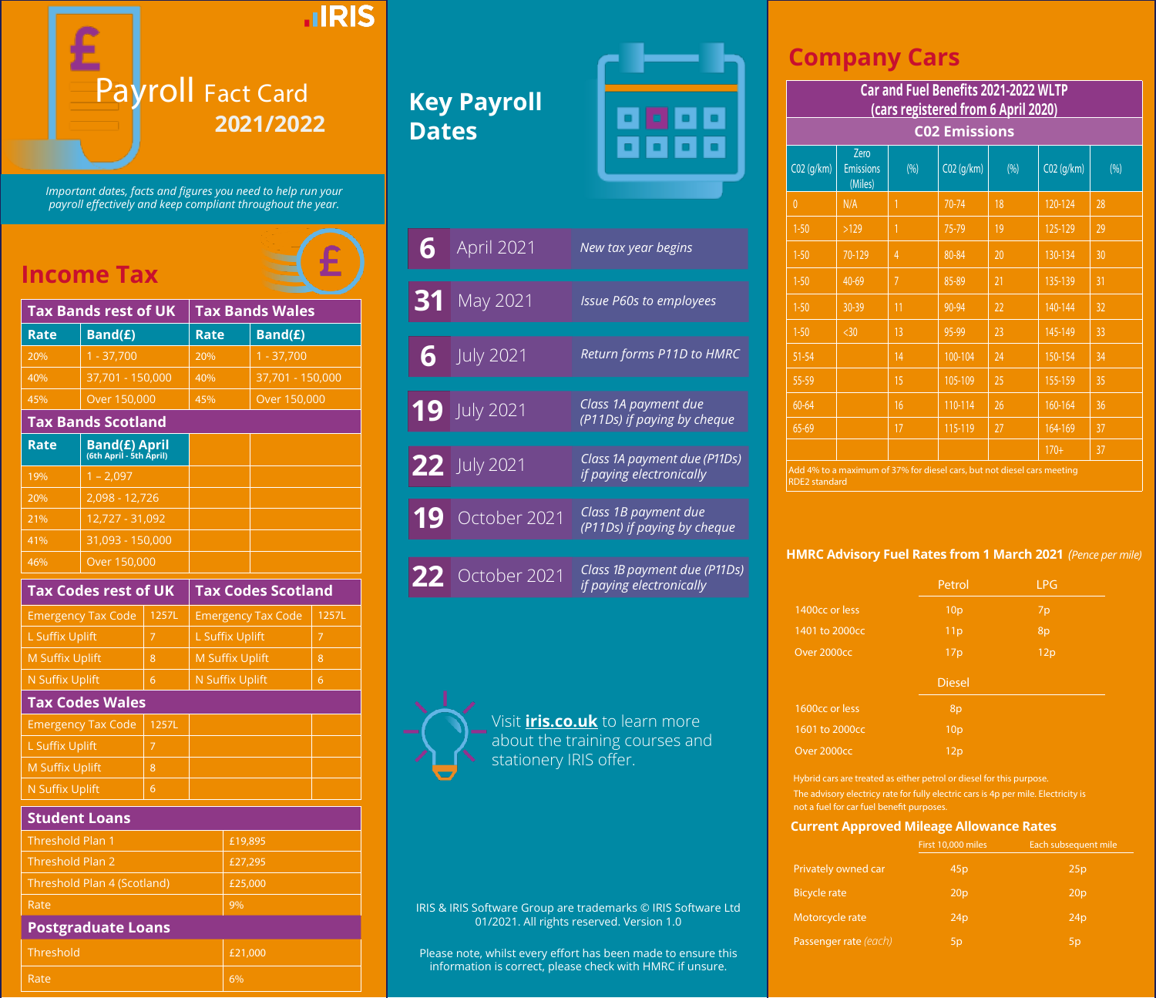

*Important dates, facts and figures you need to help run your payroll effectively and keep compliant throughout the year.*

## **Income Tax**

| <b>Tax Bands rest of UK</b>       |                                                 |                        | <b>Tax Bands Wales</b>    |                           |       |  |
|-----------------------------------|-------------------------------------------------|------------------------|---------------------------|---------------------------|-------|--|
| Rate                              | Band(£)                                         |                        | <b>Rate</b>               | Band(£)                   |       |  |
| 20%                               | $1 - 37,700$                                    |                        | 20%                       | $1 - 37,700$              |       |  |
| 40%                               | 37,701 - 150,000                                |                        | 40%                       | 37,701 - 150,000          |       |  |
| 45%                               | Over 150,000                                    |                        | 45%                       | Over 150,000              |       |  |
| <b>Tax Bands Scotland</b>         |                                                 |                        |                           |                           |       |  |
| <b>Rate</b>                       | <b>Band(£) April</b><br>(6th April - 5th April) |                        |                           |                           |       |  |
| 19%                               | $1 - 2,097$                                     |                        |                           |                           |       |  |
| 20%                               | 2,098 - 12,726                                  |                        |                           |                           |       |  |
| 21%                               | 12,727 - 31,092                                 |                        |                           |                           |       |  |
| 41%                               | 31,093 - 150,000                                |                        |                           |                           |       |  |
| 46%                               | Over 150,000                                    |                        |                           |                           |       |  |
|                                   | <b>Tax Codes rest of UK</b>                     |                        |                           | <b>Tax Codes Scotland</b> |       |  |
|                                   | <b>Emergency Tax Code</b>                       | 1257L                  | <b>Emergency Tax Code</b> |                           | 1257L |  |
| L Suffix Uplift<br>$\overline{7}$ |                                                 |                        | L Suffix Uplift           |                           | 7     |  |
| <b>M Suffix Uplift</b><br>8       |                                                 | <b>M Suffix Uplift</b> |                           | 8                         |       |  |
| <b>N Suffix Uplift</b>            | 6                                               |                        | N Suffix Uplift<br>6      |                           |       |  |
|                                   | <b>Tax Codes Wales</b>                          |                        |                           |                           |       |  |
|                                   | Free concerns on Track Constant                 | $A = 2$                |                           |                           |       |  |

| <b>Tax Bands Scotland</b>          |                                                 |                           |                           |   |       |  |
|------------------------------------|-------------------------------------------------|---------------------------|---------------------------|---|-------|--|
| Rate                               | <b>Band(£) April</b><br>(6th April - 5th April) |                           |                           |   |       |  |
| 19%                                | $1 - 2,097$                                     |                           |                           |   |       |  |
| 20%                                | 2,098 - 12,726                                  |                           |                           |   |       |  |
| 21%                                | 12,727 - 31,092                                 |                           |                           |   |       |  |
| 41%                                | 31,093 - 150,000                                |                           |                           |   |       |  |
| 46%                                | Over 150,000                                    |                           |                           |   |       |  |
| <b>Tax Codes rest of UK</b>        |                                                 | <b>Tax Codes Scotland</b> |                           |   |       |  |
|                                    | <b>Emergency Tax Code</b>                       | 1257L                     | <b>Emergency Tax Code</b> |   | 1257L |  |
| <b>L Suffix Uplift</b>             |                                                 | $\overline{7}$            | L Suffix Uplift           |   | 7     |  |
| <b>M Suffix Uplift</b>             |                                                 | 8                         | <b>M Suffix Uplift</b>    |   | 8     |  |
| N Suffix Uplift<br>6               |                                                 | <b>N Suffix Uplift</b>    |                           | 6 |       |  |
|                                    | <b>Tax Codes Wales</b>                          |                           |                           |   |       |  |
| <b>Emergency Tax Code</b><br>1257L |                                                 |                           |                           |   |       |  |
| L Suffix Uplift<br>$\overline{7}$  |                                                 |                           |                           |   |       |  |
| <b>M Suffix Uplift</b>             |                                                 | 8                         |                           |   |       |  |

### **Student Loans**

| Threshold Plan 1            | £19,895 |
|-----------------------------|---------|
| Threshold Plan 2            | £27,295 |
| Threshold Plan 4 (Scotland) | £25,000 |
| Rate                        | 9%      |
| <b>Postgraduate Loans</b>   |         |
| Threshold                   | £21.000 |
|                             |         |

Rate 6% and the first state  $\sim$  6%

# **Key Payroll Dates**



| 6  | <b>April 2021</b> | New tax year begins                                      |
|----|-------------------|----------------------------------------------------------|
| 31 | May 2021          | <b>Issue P60s to employees</b>                           |
| 6  | <b>July 2021</b>  | Return forms P11D to HMRC                                |
|    | $19$ July 2021    | Class 1A payment due<br>(P11Ds) if paying by cheque      |
|    | 22 July 2021      | Class 1A payment due (P11Ds)<br>if paying electronically |
| 19 | October 2021      | Class 1B payment due<br>(P11Ds) if paying by cheque      |
|    | $22$ October 2021 | Class 1B payment due (P11Ds)<br>if paying electronically |

Visit **iris.co.uk** to learn more about the training courses and stationery IRIS offer.

IRIS & IRIS Software Group are trademarks © IRIS Software Ltd 01/2021. All rights reserved. Version 1.0

Please note, whilst every effort has been made to ensure this information is correct, please check with HMRC if unsure.

## **Company Cars**

|                      | Car and Fuel Benefits 2021-2022 WLTP<br>(cars registered from 6 April 2020) |                |              |      |              |      |  |
|----------------------|-----------------------------------------------------------------------------|----------------|--------------|------|--------------|------|--|
|                      | <b>C02 Emissions</b>                                                        |                |              |      |              |      |  |
| $CO2$ (q/km)         | Zero<br><b>Emissions</b><br>(Miles)                                         | (% )           | $CO2$ (g/km) | (% ) | $CO2$ (q/km) | (% ) |  |
| $\mathbf{0}$         | N/A                                                                         | 1              | 70-74        | 18   | 120-124      | 28   |  |
| $1 - 50$             | >129                                                                        | 1              | 75-79        | 19   | 125-129      | 29   |  |
| $1 - 50$             | 70-129                                                                      | 4              | 80-84        | 20   | 130-134      | 30   |  |
| $1 - 50$             | 40-69                                                                       | $\overline{7}$ | 85-89        | 21   | 135-139      | 31   |  |
| $1 - 50$             | 30-39                                                                       | 11             | 90-94        | 22   | 140-144      | 32   |  |
| $1 - 50$             | $30$                                                                        | 13             | 95-99        | 23   | 145-149      | 33   |  |
| $51 - 54$            |                                                                             | 14             | 100-104      | 24   | 150-154      | 34   |  |
| 55-59                |                                                                             | 15             | 105-109      | 25   | 155-159      | 35   |  |
| 60-64                |                                                                             | 16             | 110-114      | 26   | 160-164      | 36   |  |
| 65-69                |                                                                             | 17             | 115-119      | 27   | 164-169      | 37   |  |
|                      |                                                                             |                |              |      | $170 +$      | 37   |  |
| <b>RDE2</b> standard | Add 4% to a maximum of 37% for diesel cars, but not diesel cars meeting     |                |              |      |              |      |  |

### **HMRC Advisory Fuel Rates from 1 March 2021** *(Pence per mile)*

| Petrol          | <b>LPG</b> |
|-----------------|------------|
| 10 <sub>p</sub> | 7p         |
| 11p             | 8p         |
| 17p             | 12p        |
| <b>Diesel</b>   |            |
| 8p              |            |
|                 |            |
| 10 <sub>p</sub> |            |
|                 |            |

Hybrid cars are treated as either petrol or diesel for this purpose. The advisory electricy rate for fully electric cars is 4p per mile. Electricity is

### **Current Approved Mileage Allowance Rates**

| First 10,000 miles | Each subsequent mile |
|--------------------|----------------------|
| 45p                | 25p                  |
| 20 <sub>p</sub>    | 20 <sub>p</sub>      |
| 24p                | 24p                  |
| 5 <sub>p</sub>     | 5p                   |
|                    |                      |